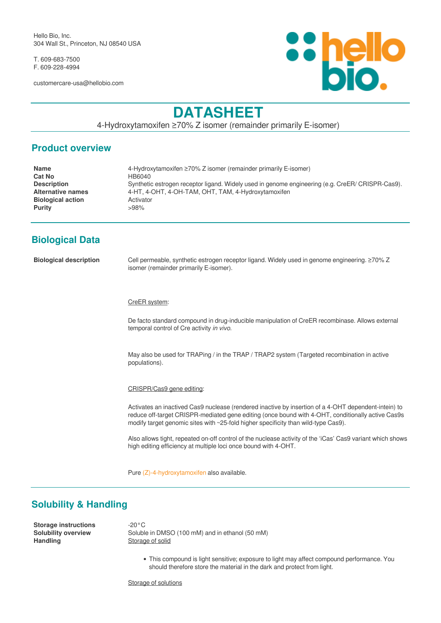Hello Bio, Inc. 304 Wall St., Princeton, NJ 08540 USA

T. 609-683-7500 F. 609-228-4994

customercare-usa@hellobio.com



# **DATASHEET**

4-Hydroxytamoxifen ≥70% Z isomer (remainder primarily E-isomer)

### **Product overview**

| <b>Name</b>              | 4-Hydroxytamoxifen $\geq$ 70% Z isomer (remainder primarily E-isomer)                            |
|--------------------------|--------------------------------------------------------------------------------------------------|
| <b>Cat No</b>            | HB6040                                                                                           |
| <b>Description</b>       | Synthetic estrogen receptor ligand. Widely used in genome engineering (e.g. CreER/ CRISPR-Cas9). |
| <b>Alternative names</b> | 4-HT, 4-OHT, 4-OH-TAM, OHT, TAM, 4-Hydroxytamoxifen                                              |
| <b>Biological action</b> | Activator                                                                                        |
| <b>Purity</b>            | >98%                                                                                             |
|                          |                                                                                                  |

## **Biological Data**

**Biological description** Cell permeable, synthetic estrogen receptor ligand. Widely used in genome engineering. ≥70% Z isomer (remainder primarily E-isomer).

#### CreER system:

De facto standard compound in drug-inducible manipulation of CreER recombinase. Allows external temporal control of Cre activity *in vivo*.

May also be used for TRAPing / in the TRAP / TRAP2 system (Targeted recombination in active populations).

#### CRISPR/Cas9 gene editing:

Activates an inactived Cas9 nuclease (rendered inactive by insertion of a 4-OHT dependent-intein) to reduce off-target CRISPR-mediated gene editing (once bound with 4-OHT, conditionally active Cas9s modify target genomic sites with ~25-fold higher specificity than wild-type Cas9).

Also allows tight, repeated on-off control of the nuclease activity of the 'iCas' Cas9 variant which shows high editing efficiency at multiple loci once bound with 4-OHT.

Pure [\(Z\)-4-hydroxytamoxifen](https://hellobio.com/z-4-hydroxytamoxifen.html) also available.

### **Solubility & Handling**

**Storage instructions** -20°C<br> **Solubility overview** Soluble Handling **Storage of solid** 

Soluble in DMSO (100 mM) and in ethanol (50 mM)

This compound is light sensitive; exposure to light may affect compound performance. You should therefore store the material in the dark and protect from light.

Storage of solutions